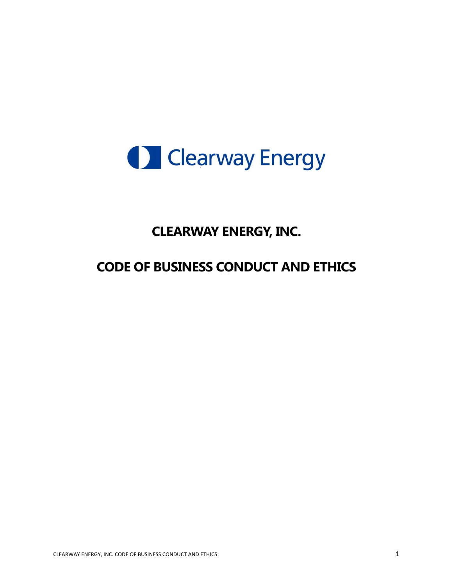

# **CLEARWAY ENERGY, INC.**

# **CODE OF BUSINESS CONDUCT AND ETHICS**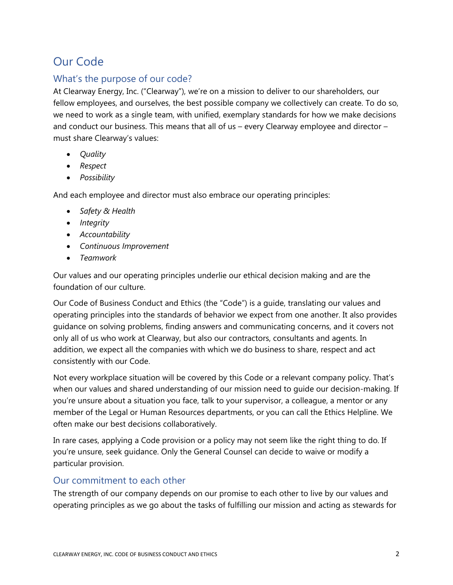# Our Code

#### What's the purpose of our code?

At Clearway Energy, Inc. ("Clearway"), we're on a mission to deliver to our shareholders, our fellow employees, and ourselves, the best possible company we collectively can create. To do so, we need to work as a single team, with unified, exemplary standards for how we make decisions and conduct our business. This means that all of us – every Clearway employee and director – must share Clearway's values:

- *Quality*
- *Respect*
- *Possibility*

And each employee and director must also embrace our operating principles:

- *Safety & Health*
- *Integrity*
- *Accountability*
- *Continuous Improvement*
- *Teamwork*

Our values and our operating principles underlie our ethical decision making and are the foundation of our culture.

Our Code of Business Conduct and Ethics (the "Code") is a guide, translating our values and operating principles into the standards of behavior we expect from one another. It also provides guidance on solving problems, finding answers and communicating concerns, and it covers not only all of us who work at Clearway, but also our contractors, consultants and agents. In addition, we expect all the companies with which we do business to share, respect and act consistently with our Code.

Not every workplace situation will be covered by this Code or a relevant company policy. That's when our values and shared understanding of our mission need to guide our decision-making. If you're unsure about a situation you face, talk to your supervisor, a colleague, a mentor or any member of the Legal or Human Resources departments, or you can call the Ethics Helpline. We often make our best decisions collaboratively.

In rare cases, applying a Code provision or a policy may not seem like the right thing to do. If you're unsure, seek guidance. Only the General Counsel can decide to waive or modify a particular provision.

#### Our commitment to each other

The strength of our company depends on our promise to each other to live by our values and operating principles as we go about the tasks of fulfilling our mission and acting as stewards for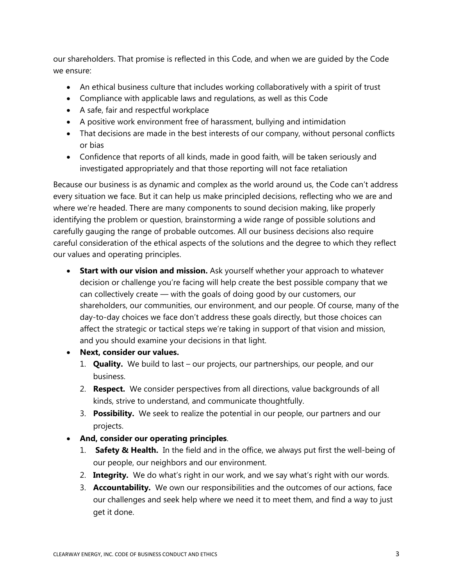our shareholders. That promise is reflected in this Code, and when we are guided by the Code we ensure:

- An ethical business culture that includes working collaboratively with a spirit of trust
- Compliance with applicable laws and regulations, as well as this Code
- A safe, fair and respectful workplace
- A positive work environment free of harassment, bullying and intimidation
- That decisions are made in the best interests of our company, without personal conflicts or bias
- Confidence that reports of all kinds, made in good faith, will be taken seriously and investigated appropriately and that those reporting will not face retaliation

Because our business is as dynamic and complex as the world around us, the Code can't address every situation we face. But it can help us make principled decisions, reflecting who we are and where we're headed. There are many components to sound decision making, like properly identifying the problem or question, brainstorming a wide range of possible solutions and carefully gauging the range of probable outcomes. All our business decisions also require careful consideration of the ethical aspects of the solutions and the degree to which they reflect our values and operating principles.

- **Start with our vision and mission.** Ask yourself whether your approach to whatever decision or challenge you're facing will help create the best possible company that we can collectively create — with the goals of doing good by our customers, our shareholders, our communities, our environment, and our people. Of course, many of the day-to-day choices we face don't address these goals directly, but those choices can affect the strategic or tactical steps we're taking in support of that vision and mission, and you should examine your decisions in that light.
- **Next, consider our values.**
	- 1. **Quality.** We build to last our projects, our partnerships, our people, and our business.
	- 2. **Respect.** We consider perspectives from all directions, value backgrounds of all kinds, strive to understand, and communicate thoughtfully.
	- 3. **Possibility.** We seek to realize the potential in our people, our partners and our projects.
- **And, consider our operating principles**.
	- 1. **Safety & Health.** In the field and in the office, we always put first the well-being of our people, our neighbors and our environment.
	- 2. **Integrity.** We do what's right in our work, and we say what's right with our words.
	- 3. **Accountability.** We own our responsibilities and the outcomes of our actions, face our challenges and seek help where we need it to meet them, and find a way to just get it done.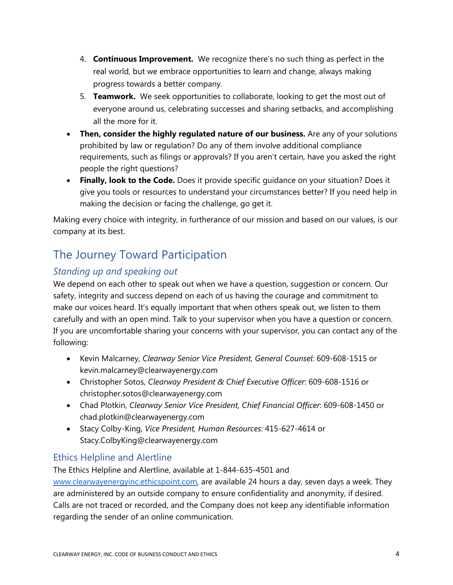- 4. **Continuous Improvement.** We recognize there's no such thing as perfect in the real world, but we embrace opportunities to learn and change, always making progress towards a better company.
- 5. **Teamwork.** We seek opportunities to collaborate, looking to get the most out of everyone around us, celebrating successes and sharing setbacks, and accomplishing all the more for it.
- **Then, consider the highly regulated nature of our business.** Are any of your solutions prohibited by law or regulation? Do any of them involve additional compliance requirements, such as filings or approvals? If you aren't certain, have you asked the right people the right questions?
- **Finally, look to the Code.** Does it provide specific guidance on your situation? Does it give you tools or resources to understand your circumstances better? If you need help in making the decision or facing the challenge, go get it.

Making every choice with integrity, in furtherance of our mission and based on our values, is our company at its best.

# The Journey Toward Participation

### *Standing up and speaking out*

We depend on each other to speak out when we have a question, suggestion or concern. Our safety, integrity and success depend on each of us having the courage and commitment to make our voices heard. It's equally important that when others speak out, we listen to them carefully and with an open mind. Talk to your supervisor when you have a question or concern. If you are uncomfortable sharing your concerns with your supervisor, you can contact any of the following:

- Kevin Malcarney, *Clearway Senior Vice President, General Counsel*: 609-608-1515 or kevin.malcarney@clearwayenergy.com
- Christopher Sotos, *Clearway President & Chief Executive Officer*: 609-608-1516 or christopher.sotos@clearwayenergy.com
- Chad Plotkin, *Clearway Senior Vice President, Chief Financial Officer*: 609-608-1450 or chad.plotkin@clearwayenergy.com
- Stacy Colby-King, *Vice President, Human Resources*: 415-627-4614 or Stacy.ColbyKing@clearwayenergy.com

#### Ethics Helpline and Alertline

The Ethics Helpline and Alertline, available at 1-844-635-4501 and [www.clearwayenergyinc.ethicspoint.com,](http://www.clearwayenergyinc.ethicspoint.com/) are available 24 hours a day, seven days a week. They are administered by an outside company to ensure confidentiality and anonymity, if desired. Calls are not traced or recorded, and the Company does not keep any identifiable information regarding the sender of an online communication.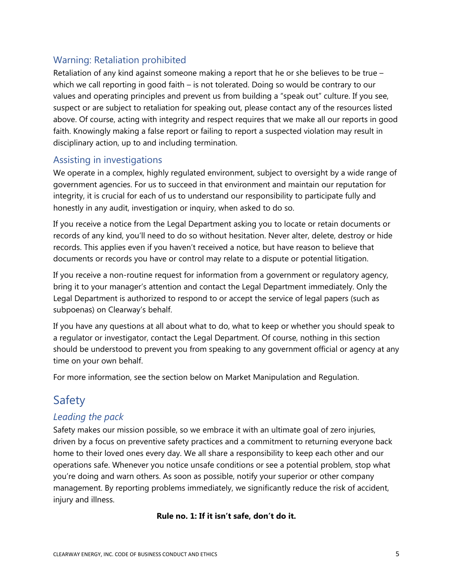### Warning: Retaliation prohibited

Retaliation of any kind against someone making a report that he or she believes to be true – which we call reporting in good faith – is not tolerated. Doing so would be contrary to our values and operating principles and prevent us from building a "speak out" culture. If you see, suspect or are subject to retaliation for speaking out, please contact any of the resources listed above. Of course, acting with integrity and respect requires that we make all our reports in good faith. Knowingly making a false report or failing to report a suspected violation may result in disciplinary action, up to and including termination.

#### Assisting in investigations

We operate in a complex, highly regulated environment, subject to oversight by a wide range of government agencies. For us to succeed in that environment and maintain our reputation for integrity, it is crucial for each of us to understand our responsibility to participate fully and honestly in any audit, investigation or inquiry, when asked to do so.

If you receive a notice from the Legal Department asking you to locate or retain documents or records of any kind, you'll need to do so without hesitation. Never alter, delete, destroy or hide records. This applies even if you haven't received a notice, but have reason to believe that documents or records you have or control may relate to a dispute or potential litigation.

If you receive a non-routine request for information from a government or regulatory agency, bring it to your manager's attention and contact the Legal Department immediately. Only the Legal Department is authorized to respond to or accept the service of legal papers (such as subpoenas) on Clearway's behalf.

If you have any questions at all about what to do, what to keep or whether you should speak to a regulator or investigator, contact the Legal Department. Of course, nothing in this section should be understood to prevent you from speaking to any government official or agency at any time on your own behalf.

For more information, see the section below on Market Manipulation and Regulation.

## Safety

#### *Leading the pack*

Safety makes our mission possible, so we embrace it with an ultimate goal of zero injuries, driven by a focus on preventive safety practices and a commitment to returning everyone back home to their loved ones every day. We all share a responsibility to keep each other and our operations safe. Whenever you notice unsafe conditions or see a potential problem, stop what you're doing and warn others. As soon as possible, notify your superior or other company management. By reporting problems immediately, we significantly reduce the risk of accident, injury and illness.

#### **Rule no. 1: If it isn't safe, don't do it.**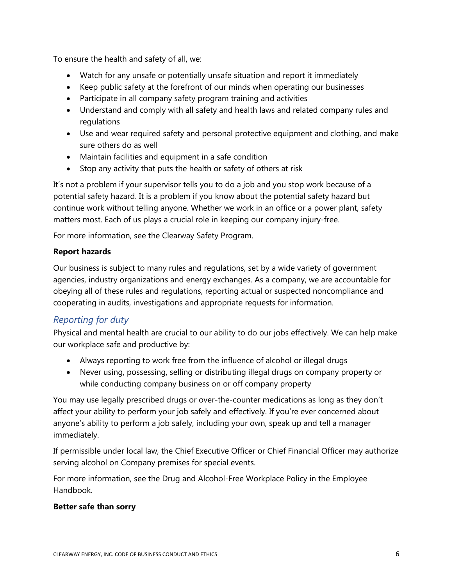To ensure the health and safety of all, we:

- Watch for any unsafe or potentially unsafe situation and report it immediately
- Keep public safety at the forefront of our minds when operating our businesses
- Participate in all company safety program training and activities
- Understand and comply with all safety and health laws and related company rules and regulations
- Use and wear required safety and personal protective equipment and clothing, and make sure others do as well
- Maintain facilities and equipment in a safe condition
- Stop any activity that puts the health or safety of others at risk

It's not a problem if your supervisor tells you to do a job and you stop work because of a potential safety hazard. It is a problem if you know about the potential safety hazard but continue work without telling anyone. Whether we work in an office or a power plant, safety matters most. Each of us plays a crucial role in keeping our company injury-free.

For more information, see the Clearway Safety Program.

#### **Report hazards**

Our business is subject to many rules and regulations, set by a wide variety of government agencies, industry organizations and energy exchanges. As a company, we are accountable for obeying all of these rules and regulations, reporting actual or suspected noncompliance and cooperating in audits, investigations and appropriate requests for information.

#### *Reporting for duty*

Physical and mental health are crucial to our ability to do our jobs effectively. We can help make our workplace safe and productive by:

- Always reporting to work free from the influence of alcohol or illegal drugs
- Never using, possessing, selling or distributing illegal drugs on company property or while conducting company business on or off company property

You may use legally prescribed drugs or over-the-counter medications as long as they don't affect your ability to perform your job safely and effectively. If you're ever concerned about anyone's ability to perform a job safely, including your own, speak up and tell a manager immediately.

If permissible under local law, the Chief Executive Officer or Chief Financial Officer may authorize serving alcohol on Company premises for special events.

For more information, see the Drug and Alcohol-Free Workplace Policy in the Employee Handbook.

#### **Better safe than sorry**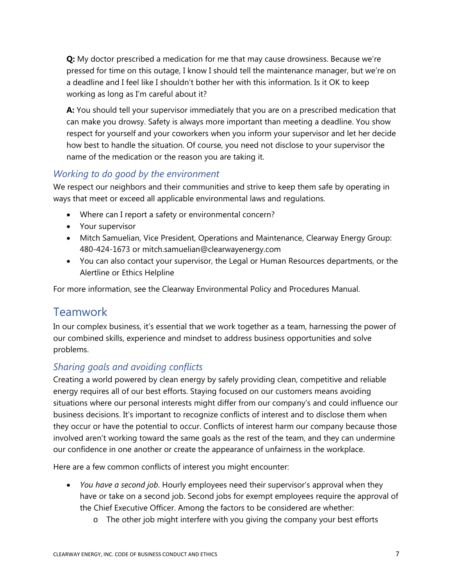**Q:** My doctor prescribed a medication for me that may cause drowsiness. Because we're pressed for time on this outage, I know I should tell the maintenance manager, but we're on a deadline and I feel like I shouldn't bother her with this information. Is it OK to keep working as long as I'm careful about it?

**A:** You should tell your supervisor immediately that you are on a prescribed medication that can make you drowsy. Safety is always more important than meeting a deadline. You show respect for yourself and your coworkers when you inform your supervisor and let her decide how best to handle the situation. Of course, you need not disclose to your supervisor the name of the medication or the reason you are taking it.

#### *Working to do good by the environment*

We respect our neighbors and their communities and strive to keep them safe by operating in ways that meet or exceed all applicable environmental laws and regulations.

- Where can I report a safety or environmental concern?
- Your supervisor
- Mitch Samuelian, Vice President, Operations and Maintenance, Clearway Energy Group: 480-424-1673 or mitch.samuelian@clearwayenergy.com
- You can also contact your supervisor, the Legal or Human Resources departments, or the Alertline or Ethics Helpline

For more information, see the Clearway Environmental Policy and Procedures Manual.

### **Teamwork**

In our complex business, it's essential that we work together as a team, harnessing the power of our combined skills, experience and mindset to address business opportunities and solve problems.

### *Sharing goals and avoiding conflicts*

Creating a world powered by clean energy by safely providing clean, competitive and reliable energy requires all of our best efforts. Staying focused on our customers means avoiding situations where our personal interests might differ from our company's and could influence our business decisions. It's important to recognize conflicts of interest and to disclose them when they occur or have the potential to occur. Conflicts of interest harm our company because those involved aren't working toward the same goals as the rest of the team, and they can undermine our confidence in one another or create the appearance of unfairness in the workplace.

Here are a few common conflicts of interest you might encounter:

- *You have a second job*. Hourly employees need their supervisor's approval when they have or take on a second job. Second jobs for exempt employees require the approval of the Chief Executive Officer. Among the factors to be considered are whether:
	- o The other job might interfere with you giving the company your best efforts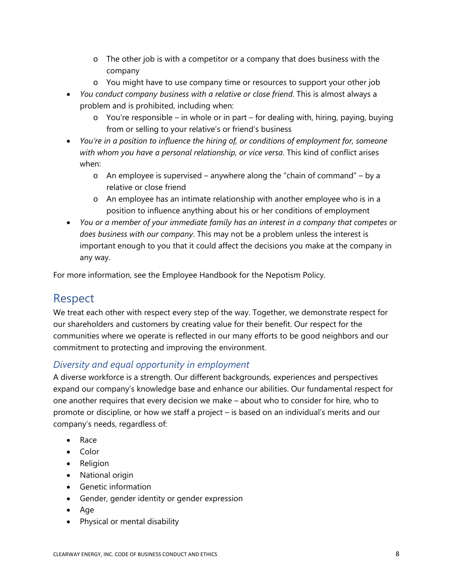- o The other job is with a competitor or a company that does business with the company
- o You might have to use company time or resources to support your other job
- *You conduct company business with a relative or close friend*. This is almost always a problem and is prohibited, including when:
	- o You're responsible in whole or in part for dealing with, hiring, paying, buying from or selling to your relative's or friend's business
- *You're in a position to influence the hiring of, or conditions of employment for, someone with whom you have a personal relationship, or vice versa*. This kind of conflict arises when:
	- o An employee is supervised anywhere along the "chain of command" by a relative or close friend
	- o An employee has an intimate relationship with another employee who is in a position to influence anything about his or her conditions of employment
- *You or a member of your immediate family has an interest in a company that competes or does business with our company*. This may not be a problem unless the interest is important enough to you that it could affect the decisions you make at the company in any way.

For more information, see the Employee Handbook for the Nepotism Policy.

## Respect

We treat each other with respect every step of the way. Together, we demonstrate respect for our shareholders and customers by creating value for their benefit. Our respect for the communities where we operate is reflected in our many efforts to be good neighbors and our commitment to protecting and improving the environment.

#### *Diversity and equal opportunity in employment*

A diverse workforce is a strength. Our different backgrounds, experiences and perspectives expand our company's knowledge base and enhance our abilities. Our fundamental respect for one another requires that every decision we make – about who to consider for hire, who to promote or discipline, or how we staff a project – is based on an individual's merits and our company's needs, regardless of:

- Race
- Color
- Religion
- National origin
- Genetic information
- Gender, gender identity or gender expression
- Age
- Physical or mental disability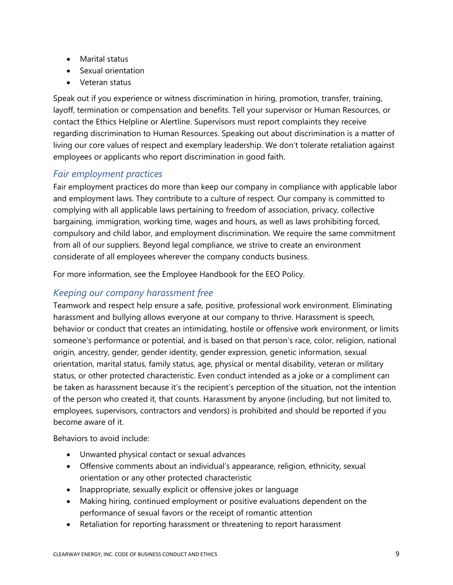- Marital status
- Sexual orientation
- Veteran status

Speak out if you experience or witness discrimination in hiring, promotion, transfer, training, layoff, termination or compensation and benefits. Tell your supervisor or Human Resources, or contact the Ethics Helpline or Alertline. Supervisors must report complaints they receive regarding discrimination to Human Resources. Speaking out about discrimination is a matter of living our core values of respect and exemplary leadership. We don't tolerate retaliation against employees or applicants who report discrimination in good faith.

#### *Fair employment practices*

Fair employment practices do more than keep our company in compliance with applicable labor and employment laws. They contribute to a culture of respect. Our company is committed to complying with all applicable laws pertaining to freedom of association, privacy, collective bargaining, immigration, working time, wages and hours, as well as laws prohibiting forced, compulsory and child labor, and employment discrimination. We require the same commitment from all of our suppliers. Beyond legal compliance, we strive to create an environment considerate of all employees wherever the company conducts business.

For more information, see the Employee Handbook for the EEO Policy.

#### *Keeping our company harassment free*

Teamwork and respect help ensure a safe, positive, professional work environment. Eliminating harassment and bullying allows everyone at our company to thrive. Harassment is speech, behavior or conduct that creates an intimidating, hostile or offensive work environment, or limits someone's performance or potential, and is based on that person's race, color, religion, national origin, ancestry, gender, gender identity, gender expression, genetic information, sexual orientation, marital status, family status, age, physical or mental disability, veteran or military status, or other protected characteristic. Even conduct intended as a joke or a compliment can be taken as harassment because it's the recipient's perception of the situation, not the intention of the person who created it, that counts. Harassment by anyone (including, but not limited to, employees, supervisors, contractors and vendors) is prohibited and should be reported if you become aware of it.

Behaviors to avoid include:

- Unwanted physical contact or sexual advances
- Offensive comments about an individual's appearance, religion, ethnicity, sexual orientation or any other protected characteristic
- Inappropriate, sexually explicit or offensive jokes or language
- Making hiring, continued employment or positive evaluations dependent on the performance of sexual favors or the receipt of romantic attention
- Retaliation for reporting harassment or threatening to report harassment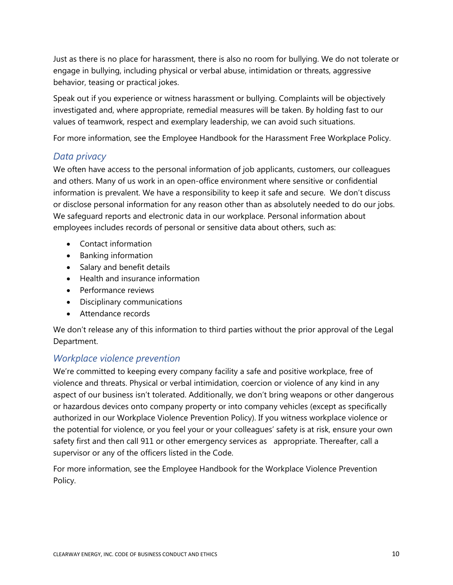Just as there is no place for harassment, there is also no room for bullying. We do not tolerate or engage in bullying, including physical or verbal abuse, intimidation or threats, aggressive behavior, teasing or practical jokes.

Speak out if you experience or witness harassment or bullying. Complaints will be objectively investigated and, where appropriate, remedial measures will be taken. By holding fast to our values of teamwork, respect and exemplary leadership, we can avoid such situations.

For more information, see the Employee Handbook for the Harassment Free Workplace Policy.

#### *Data privacy*

We often have access to the personal information of job applicants, customers, our colleagues and others. Many of us work in an open-office environment where sensitive or confidential information is prevalent. We have a responsibility to keep it safe and secure. We don't discuss or disclose personal information for any reason other than as absolutely needed to do our jobs. We safeguard reports and electronic data in our workplace. Personal information about employees includes records of personal or sensitive data about others, such as:

- Contact information
- Banking information
- Salary and benefit details
- Health and insurance information
- Performance reviews
- Disciplinary communications
- Attendance records

We don't release any of this information to third parties without the prior approval of the Legal Department.

#### *Workplace violence prevention*

We're committed to keeping every company facility a safe and positive workplace, free of violence and threats. Physical or verbal intimidation, coercion or violence of any kind in any aspect of our business isn't tolerated. Additionally, we don't bring weapons or other dangerous or hazardous devices onto company property or into company vehicles (except as specifically authorized in our Workplace Violence Prevention Policy). If you witness workplace violence or the potential for violence, or you feel your or your colleagues' safety is at risk, ensure your own safety first and then call 911 or other emergency services as appropriate. Thereafter, call a supervisor or any of the officers listed in the Code.

For more information, see the Employee Handbook for the Workplace Violence Prevention Policy.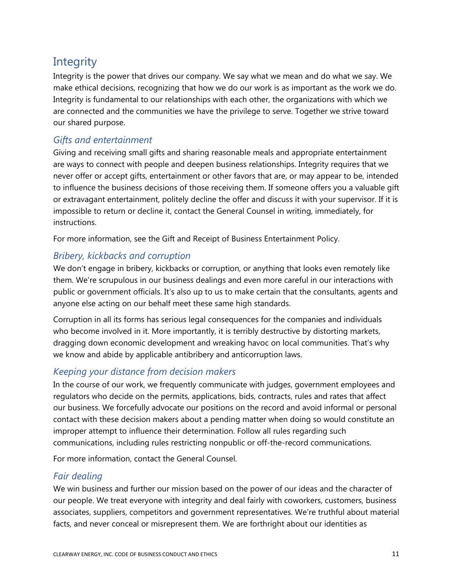## **Integrity**

Integrity is the power that drives our company. We say what we mean and do what we say. We make ethical decisions, recognizing that how we do our work is as important as the work we do. Integrity is fundamental to our relationships with each other, the organizations with which we are connected and the communities we have the privilege to serve. Together we strive toward our shared purpose.

#### *Gifts and entertainment*

Giving and receiving small gifts and sharing reasonable meals and appropriate entertainment are ways to connect with people and deepen business relationships. Integrity requires that we never offer or accept gifts, entertainment or other favors that are, or may appear to be, intended to influence the business decisions of those receiving them. If someone offers you a valuable gift or extravagant entertainment, politely decline the offer and discuss it with your supervisor. If it is impossible to return or decline it, contact the General Counsel in writing, immediately, for instructions.

For more information, see the Gift and Receipt of Business Entertainment Policy.

#### *Bribery, kickbacks and corruption*

We don't engage in bribery, kickbacks or corruption, or anything that looks even remotely like them. We're scrupulous in our business dealings and even more careful in our interactions with public or government officials. It's also up to us to make certain that the consultants, agents and anyone else acting on our behalf meet these same high standards.

Corruption in all its forms has serious legal consequences for the companies and individuals who become involved in it. More importantly, it is terribly destructive by distorting markets, dragging down economic development and wreaking havoc on local communities. That's why we know and abide by applicable antibribery and anticorruption laws.

#### *Keeping your distance from decision makers*

In the course of our work, we frequently communicate with judges, government employees and regulators who decide on the permits, applications, bids, contracts, rules and rates that affect our business. We forcefully advocate our positions on the record and avoid informal or personal contact with these decision makers about a pending matter when doing so would constitute an improper attempt to influence their determination. Follow all rules regarding such communications, including rules restricting nonpublic or off-the-record communications.

For more information, contact the General Counsel.

#### *Fair dealing*

We win business and further our mission based on the power of our ideas and the character of our people. We treat everyone with integrity and deal fairly with coworkers, customers, business associates, suppliers, competitors and government representatives. We're truthful about material facts, and never conceal or misrepresent them. We are forthright about our identities as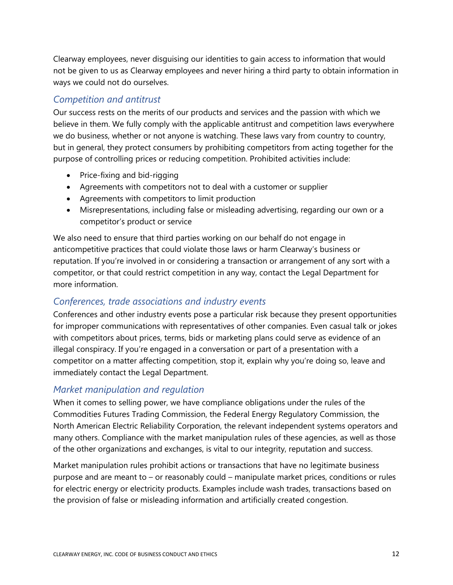Clearway employees, never disguising our identities to gain access to information that would not be given to us as Clearway employees and never hiring a third party to obtain information in ways we could not do ourselves.

#### *Competition and antitrust*

Our success rests on the merits of our products and services and the passion with which we believe in them. We fully comply with the applicable antitrust and competition laws everywhere we do business, whether or not anyone is watching. These laws vary from country to country, but in general, they protect consumers by prohibiting competitors from acting together for the purpose of controlling prices or reducing competition. Prohibited activities include:

- Price-fixing and bid-rigging
- Agreements with competitors not to deal with a customer or supplier
- Agreements with competitors to limit production
- Misrepresentations, including false or misleading advertising, regarding our own or a competitor's product or service

We also need to ensure that third parties working on our behalf do not engage in anticompetitive practices that could violate those laws or harm Clearway's business or reputation. If you're involved in or considering a transaction or arrangement of any sort with a competitor, or that could restrict competition in any way, contact the Legal Department for more information.

#### *Conferences, trade associations and industry events*

Conferences and other industry events pose a particular risk because they present opportunities for improper communications with representatives of other companies. Even casual talk or jokes with competitors about prices, terms, bids or marketing plans could serve as evidence of an illegal conspiracy. If you're engaged in a conversation or part of a presentation with a competitor on a matter affecting competition, stop it, explain why you're doing so, leave and immediately contact the Legal Department.

#### *Market manipulation and regulation*

When it comes to selling power, we have compliance obligations under the rules of the Commodities Futures Trading Commission, the Federal Energy Regulatory Commission, the North American Electric Reliability Corporation, the relevant independent systems operators and many others. Compliance with the market manipulation rules of these agencies, as well as those of the other organizations and exchanges, is vital to our integrity, reputation and success.

Market manipulation rules prohibit actions or transactions that have no legitimate business purpose and are meant to – or reasonably could – manipulate market prices, conditions or rules for electric energy or electricity products. Examples include wash trades, transactions based on the provision of false or misleading information and artificially created congestion.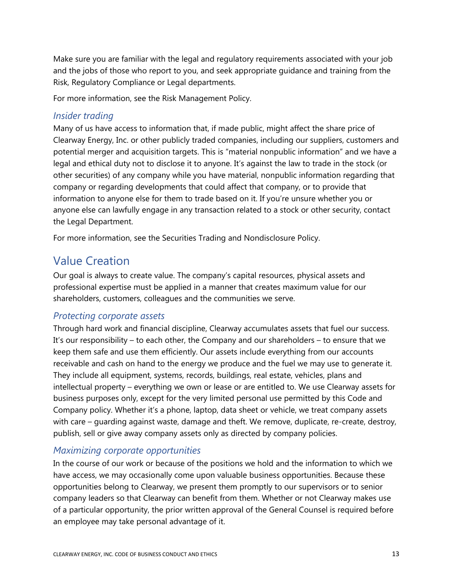Make sure you are familiar with the legal and regulatory requirements associated with your job and the jobs of those who report to you, and seek appropriate guidance and training from the Risk, Regulatory Compliance or Legal departments.

For more information, see the Risk Management Policy.

#### *Insider trading*

Many of us have access to information that, if made public, might affect the share price of Clearway Energy, Inc. or other publicly traded companies, including our suppliers, customers and potential merger and acquisition targets. This is "material nonpublic information" and we have a legal and ethical duty not to disclose it to anyone. It's against the law to trade in the stock (or other securities) of any company while you have material, nonpublic information regarding that company or regarding developments that could affect that company, or to provide that information to anyone else for them to trade based on it. If you're unsure whether you or anyone else can lawfully engage in any transaction related to a stock or other security, contact the Legal Department.

For more information, see the Securities Trading and Nondisclosure Policy.

### Value Creation

Our goal is always to create value. The company's capital resources, physical assets and professional expertise must be applied in a manner that creates maximum value for our shareholders, customers, colleagues and the communities we serve.

#### *Protecting corporate assets*

Through hard work and financial discipline, Clearway accumulates assets that fuel our success. It's our responsibility – to each other, the Company and our shareholders – to ensure that we keep them safe and use them efficiently. Our assets include everything from our accounts receivable and cash on hand to the energy we produce and the fuel we may use to generate it. They include all equipment, systems, records, buildings, real estate, vehicles, plans and intellectual property – everything we own or lease or are entitled to. We use Clearway assets for business purposes only, except for the very limited personal use permitted by this Code and Company policy. Whether it's a phone, laptop, data sheet or vehicle, we treat company assets with care – guarding against waste, damage and theft. We remove, duplicate, re-create, destroy, publish, sell or give away company assets only as directed by company policies.

#### *Maximizing corporate opportunities*

In the course of our work or because of the positions we hold and the information to which we have access, we may occasionally come upon valuable business opportunities. Because these opportunities belong to Clearway, we present them promptly to our supervisors or to senior company leaders so that Clearway can benefit from them. Whether or not Clearway makes use of a particular opportunity, the prior written approval of the General Counsel is required before an employee may take personal advantage of it.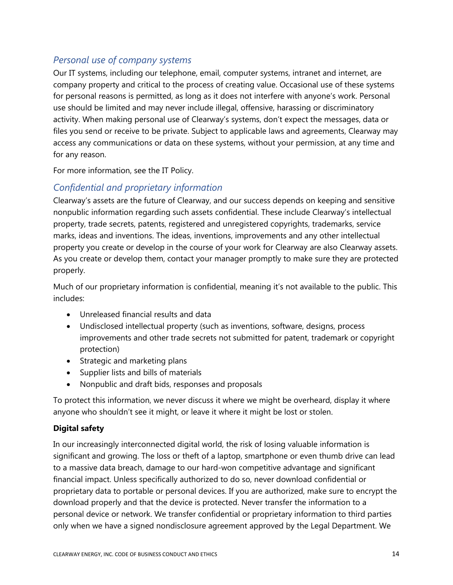#### *Personal use of company systems*

Our IT systems, including our telephone, email, computer systems, intranet and internet, are company property and critical to the process of creating value. Occasional use of these systems for personal reasons is permitted, as long as it does not interfere with anyone's work. Personal use should be limited and may never include illegal, offensive, harassing or discriminatory activity. When making personal use of Clearway's systems, don't expect the messages, data or files you send or receive to be private. Subject to applicable laws and agreements, Clearway may access any communications or data on these systems, without your permission, at any time and for any reason.

For more information, see the IT Policy.

#### *Confidential and proprietary information*

Clearway's assets are the future of Clearway, and our success depends on keeping and sensitive nonpublic information regarding such assets confidential. These include Clearway's intellectual property, trade secrets, patents, registered and unregistered copyrights, trademarks, service marks, ideas and inventions. The ideas, inventions, improvements and any other intellectual property you create or develop in the course of your work for Clearway are also Clearway assets. As you create or develop them, contact your manager promptly to make sure they are protected properly.

Much of our proprietary information is confidential, meaning it's not available to the public. This includes:

- Unreleased financial results and data
- Undisclosed intellectual property (such as inventions, software, designs, process improvements and other trade secrets not submitted for patent, trademark or copyright protection)
- Strategic and marketing plans
- Supplier lists and bills of materials
- Nonpublic and draft bids, responses and proposals

To protect this information, we never discuss it where we might be overheard, display it where anyone who shouldn't see it might, or leave it where it might be lost or stolen.

#### **Digital safety**

In our increasingly interconnected digital world, the risk of losing valuable information is significant and growing. The loss or theft of a laptop, smartphone or even thumb drive can lead to a massive data breach, damage to our hard-won competitive advantage and significant financial impact. Unless specifically authorized to do so, never download confidential or proprietary data to portable or personal devices. If you are authorized, make sure to encrypt the download properly and that the device is protected. Never transfer the information to a personal device or network. We transfer confidential or proprietary information to third parties only when we have a signed nondisclosure agreement approved by the Legal Department. We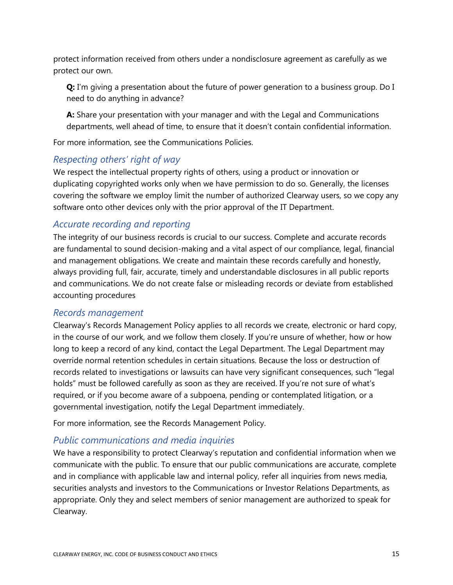protect information received from others under a nondisclosure agreement as carefully as we protect our own.

**Q:** I'm giving a presentation about the future of power generation to a business group. Do I need to do anything in advance?

**A:** Share your presentation with your manager and with the Legal and Communications departments, well ahead of time, to ensure that it doesn't contain confidential information.

For more information, see the Communications Policies.

#### *Respecting others' right of way*

We respect the intellectual property rights of others, using a product or innovation or duplicating copyrighted works only when we have permission to do so. Generally, the licenses covering the software we employ limit the number of authorized Clearway users, so we copy any software onto other devices only with the prior approval of the IT Department.

#### *Accurate recording and reporting*

The integrity of our business records is crucial to our success. Complete and accurate records are fundamental to sound decision-making and a vital aspect of our compliance, legal, financial and management obligations. We create and maintain these records carefully and honestly, always providing full, fair, accurate, timely and understandable disclosures in all public reports and communications. We do not create false or misleading records or deviate from established accounting procedures

#### *Records management*

Clearway's Records Management Policy applies to all records we create, electronic or hard copy, in the course of our work, and we follow them closely. If you're unsure of whether, how or how long to keep a record of any kind, contact the Legal Department. The Legal Department may override normal retention schedules in certain situations. Because the loss or destruction of records related to investigations or lawsuits can have very significant consequences, such "legal holds" must be followed carefully as soon as they are received. If you're not sure of what's required, or if you become aware of a subpoena, pending or contemplated litigation, or a governmental investigation, notify the Legal Department immediately.

For more information, see the [Records Management Policy.](https://onenrg.sharepoint.com/:b:/r/sites/omni/Business%20Standards/Records%20Management%20Policy.pdf)

#### *Public communications and media inquiries*

We have a responsibility to protect Clearway's reputation and confidential information when we communicate with the public. To ensure that our public communications are accurate, complete and in compliance with applicable law and internal policy, refer all inquiries from news media, securities analysts and investors to the Communications or Investor Relations Departments, as appropriate. Only they and select members of senior management are authorized to speak for Clearway.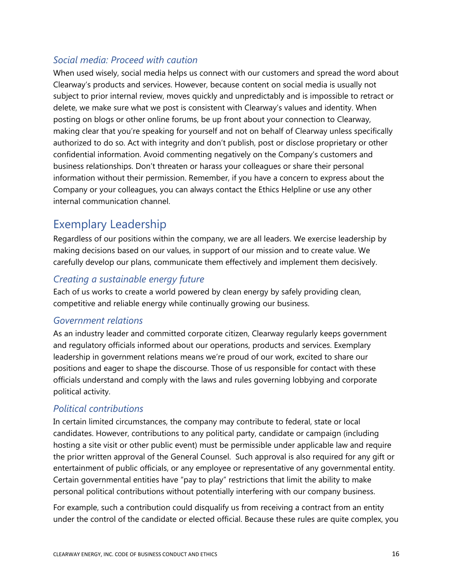#### *Social media: Proceed with caution*

When used wisely, social media helps us connect with our customers and spread the word about Clearway's products and services. However, because content on social media is usually not subject to prior internal review, moves quickly and unpredictably and is impossible to retract or delete, we make sure what we post is consistent with Clearway's values and identity. When posting on blogs or other online forums, be up front about your connection to Clearway, making clear that you're speaking for yourself and not on behalf of Clearway unless specifically authorized to do so. Act with integrity and don't publish, post or disclose proprietary or other confidential information. Avoid commenting negatively on the Company's customers and business relationships. Don't threaten or harass your colleagues or share their personal information without their permission. Remember, if you have a concern to express about the Company or your colleagues, you can always contact the Ethics Helpline or use any other internal communication channel.

## Exemplary Leadership

Regardless of our positions within the company, we are all leaders. We exercise leadership by making decisions based on our values, in support of our mission and to create value. We carefully develop our plans, communicate them effectively and implement them decisively.

#### *Creating a sustainable energy future*

Each of us works to create a world powered by clean energy by safely providing clean, competitive and reliable energy while continually growing our business.

#### *Government relations*

As an industry leader and committed corporate citizen, Clearway regularly keeps government and regulatory officials informed about our operations, products and services. Exemplary leadership in government relations means we're proud of our work, excited to share our positions and eager to shape the discourse. Those of us responsible for contact with these officials understand and comply with the laws and rules governing lobbying and corporate political activity.

#### *Political contributions*

In certain limited circumstances, the company may contribute to federal, state or local candidates. However, contributions to any political party, candidate or campaign (including hosting a site visit or other public event) must be permissible under applicable law and require the prior written approval of the General Counsel. Such approval is also required for any gift or entertainment of public officials, or any employee or representative of any governmental entity. Certain governmental entities have "pay to play" restrictions that limit the ability to make personal political contributions without potentially interfering with our company business.

For example, such a contribution could disqualify us from receiving a contract from an entity under the control of the candidate or elected official. Because these rules are quite complex, you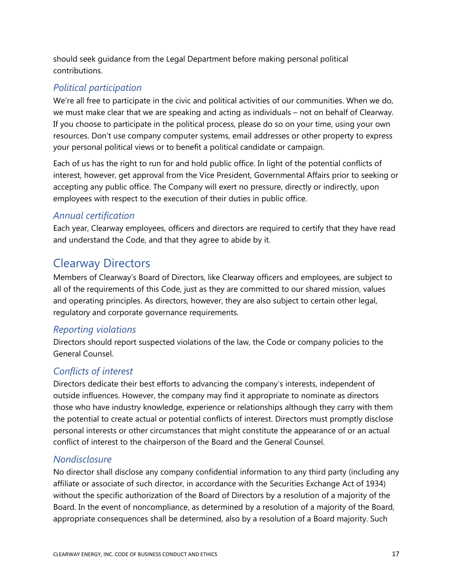should seek guidance from the Legal Department before making personal political contributions.

### *Political participation*

We're all free to participate in the civic and political activities of our communities. When we do, we must make clear that we are speaking and acting as individuals – not on behalf of Clearway. If you choose to participate in the political process, please do so on your time, using your own resources. Don't use company computer systems, email addresses or other property to express your personal political views or to benefit a political candidate or campaign.

Each of us has the right to run for and hold public office. In light of the potential conflicts of interest, however, get approval from the Vice President, Governmental Affairs prior to seeking or accepting any public office. The Company will exert no pressure, directly or indirectly, upon employees with respect to the execution of their duties in public office.

#### *Annual certification*

Each year, Clearway employees, officers and directors are required to certify that they have read and understand the Code, and that they agree to abide by it.

## Clearway Directors

Members of Clearway's Board of Directors, like Clearway officers and employees, are subject to all of the requirements of this Code, just as they are committed to our shared mission, values and operating principles. As directors, however, they are also subject to certain other legal, regulatory and corporate governance requirements.

#### *Reporting violations*

Directors should report suspected violations of the law, the Code or company policies to the General Counsel.

#### *Conflicts of interest*

Directors dedicate their best efforts to advancing the company's interests, independent of outside influences. However, the company may find it appropriate to nominate as directors those who have industry knowledge, experience or relationships although they carry with them the potential to create actual or potential conflicts of interest. Directors must promptly disclose personal interests or other circumstances that might constitute the appearance of or an actual conflict of interest to the chairperson of the Board and the General Counsel.

#### *Nondisclosure*

No director shall disclose any company confidential information to any third party (including any affiliate or associate of such director, in accordance with the Securities Exchange Act of 1934) without the specific authorization of the Board of Directors by a resolution of a majority of the Board. In the event of noncompliance, as determined by a resolution of a majority of the Board, appropriate consequences shall be determined, also by a resolution of a Board majority. Such